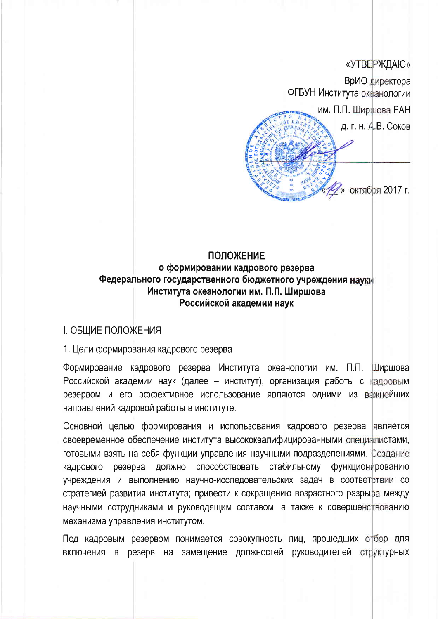## «УТВЕРЖДАЮ»

ВрИО директора ФГБУН Института океанологии

им. П.П. Ширшова РАН д. г. н. А.В. Соков

» октября 2017 г.

## **ПОЛОЖЕНИЕ**

# о формировании кадрового резерва Федерального государственного бюджетного учреждения науки Института океанологии им. П.П. Ширшова Российской академии наук

## **I. ОБЩИЕ ПОЛОЖЕНИЯ**

#### 1. Цели формирования кадрового резерва

Формирование кадрового резерва Института океанологии им. П.П. Ширшова Российской академии наук (далее - институт), организация работы с кадровым резервом и его эффективное использование являются одними из важнейших направлений кадровой работы в институте.

Основной целью формирования и использования кадрового резерва является своевременное обеспечение института высококвалифицированными специалистами, готовыми взять на себя функции управления научными подразделениями. Создание способствовать стабильному функционированию кадрового резерва ДОЛЖНО учреждения и выполнению научно-исследовательских задач в соответствии со стратегией развития института; привести к сокращению возрастного разрыва между научными сотрудниками и руководящим составом, а также к совершенствованию механизма управления институтом.

Под кадровым резервом понимается совокупность лиц, прошедших отбор для включения в резерв на замещение должностей руководителей структурных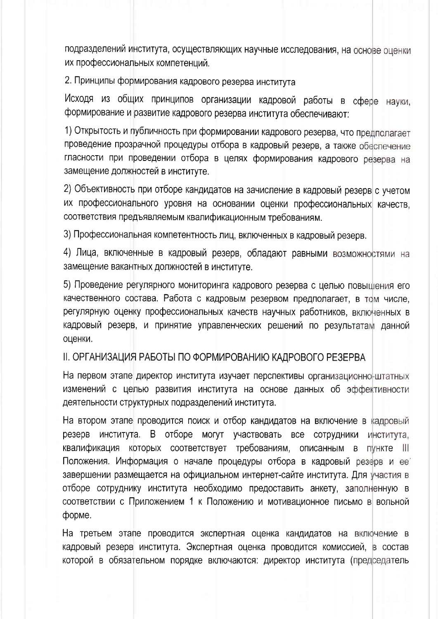подразделений института, осуществляющих научные исследования, на основе оценки их профессиональных компетенций.

2. Принципы формирования кадрового резерва института

Исходя из общих принципов организации кадровой работы в сфере науки, формирование и развитие кадрового резерва института обеспечивают:

1) Открытость и публичность при формировании кадрового резерва, что предполагает проведение прозрачной процедуры отбора в кадровый резерв, а также обеспечение гласности при проведении отбора в целях формирования кадрового резерва на замещение должностей в институте.

2) Объективность при отборе кандидатов на зачисление в кадровый резерв с учетом их профессионального уровня на основании оценки профессиональных качеств. соответствия предъявляемым квалификационным требованиям.

3) Профессиональная компетентность лиц, включенных в кадровый резерв.

4) Лица, включенные в кадровый резерв, обладают равными возможностями на замещение вакантных должностей в институте.

5) Проведение регулярного мониторинга кадрового резерва с целью повышения его качественного состава. Работа с кадровым резервом предполагает, в том числе, регулярную оценку профессиональных качеств научных работников, включенных в кадровый резерв, и принятие управленческих решений по результатам данной оценки.

## II. ОРГАНИЗАЦИЯ РАБОТЫ ПО ФОРМИРОВАНИЮ КАДРОВОГО РЕЗЕРВА

На первом этапе директор института изучает перспективы организационно-штатных изменений с целью развития института на основе данных об эффективности деятельности структурных подразделений института.

На втором этапе проводится поиск и отбор кандидатов на включение в кадровый института. В отборе могут участвовать все резерв СОТРУДНИКИ института, квалификация которых соответствует требованиям, описанным в **ПУНКТЕ** III Положения. Информация о начале процедуры отбора в кадровый резерв и ее завершении размещается на официальном интернет-сайте института. Для участия в отборе сотруднику института необходимо предоставить анкету, заполненную в соответствии с Приложением 1 к Положению и мотивационное письмо в вольной форме.

На третьем этапе проводится экспертная оценка кандидатов на включение в кадровый резерв института. Экспертная оценка проводится комиссией, в состав которой в обязательном порядке включаются: директор института (председатель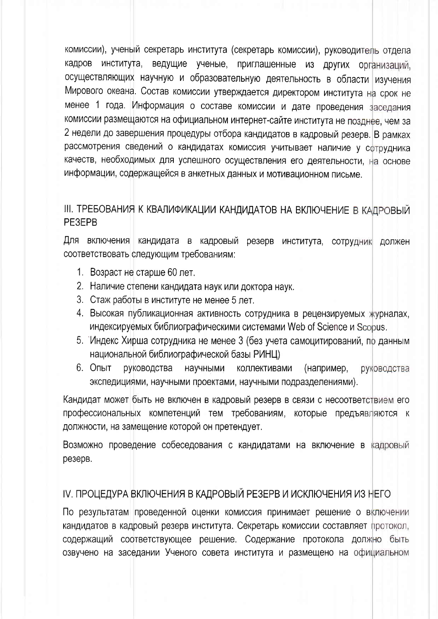комиссии), ученый секретарь института (секретарь комиссии), руководитель отдела кадров института, ведущие ученые, приглашенные из других организаций, осуществляющих научную и образовательную деятельность в области изучения Мирового океана. Состав комиссии утверждается директором института на срок не менее 1 года. Информация о составе комиссии и дате проведения заседания комиссии размещаются на официальном интернет-сайте института не позднее, чем за 2 недели до завершения процедуры отбора кандидатов в кадровый резерв. В рамках рассмотрения сведений о кандидатах комиссия учитывает наличие у сотрудника качеств, необходимых для успешного осуществления его деятельности, на основе информации, содержащейся в анкетных данных и мотивационном письме.

# III. ТРЕБОВАНИЯ К КВАЛИФИКАЦИИ КАНДИДАТОВ НА ВКЛЮЧЕНИЕ В КАДРОВЫЙ PF3FPB

Для включения кандидата в кадровый резерв института, сотрудник должен соответствовать следующим требованиям:

- 1. Возраст не старше 60 лет.
- 2. Наличие степени кандидата наук или доктора наук.
- 3. Стаж работы в институте не менее 5 лет.
- 4. Высокая публикационная активность сотрудника в рецензируемых журналах, индексируемых библиографическими системами Web of Science и Scopus.
- 5. Индекс Хирша сотрудника не менее 3 (без учета самоцитирований, по данным национальной библиографической базы РИНЦ)
- 6. Опыт руководства научными коллективами (например, руководства экспедициями, научными проектами, научными подразделениями).

Кандидат может быть не включен в кадровый резерв в связи с несоответствием его профессиональных компетенций тем требованиям, которые предъявляются к должности, на замещение которой он претендует.

Возможно проведение собеседования с кандидатами на включение в кадровый резерв.

# IV. ПРОЦЕДУРА ВКЛЮЧЕНИЯ В КАДРОВЫЙ РЕЗЕРВ И ИСКЛЮЧЕНИЯ ИЗ НЕГО

По результатам проведенной оценки комиссия принимает решение о включении кандидатов в кадровый резерв института. Секретарь комиссии составляет протокол, содержащий соответствующее решение. Содержание протокола должно быть озвучено на заседании Ученого совета института и размещено на официальном